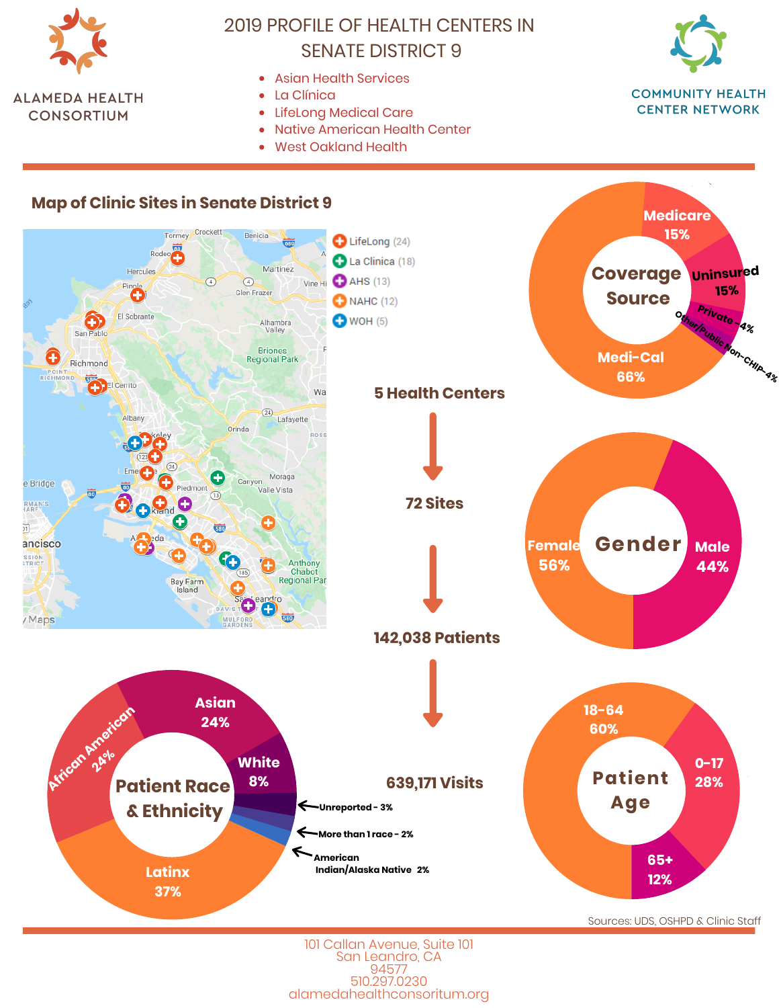

- Asian Health Services
- La Clínica  $\bullet$
- LifeLong Medical Care
- Native American Health Center  $\bullet$
- **West Oakland Health**



**CENTER NETWORK** 

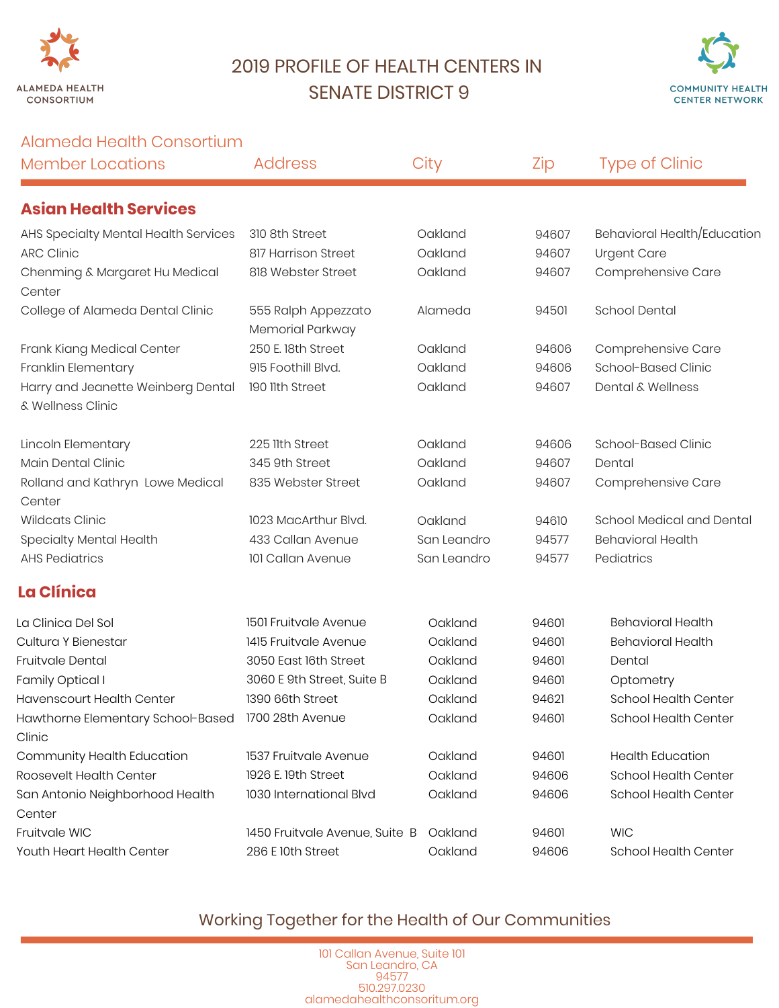



### Alameda Health Consortium

| <b>Member Locations</b>                                 | <b>Address</b>                          | City        | Zip   | <b>Type of Clinic</b>        |
|---------------------------------------------------------|-----------------------------------------|-------------|-------|------------------------------|
| <b>Asian Health Services</b>                            |                                         |             |       |                              |
| AHS Specialty Mental Health Services                    | 310 8th Street                          | Oakland     | 94607 | Behavioral Health/Education  |
| <b>ARC Clinic</b>                                       | 817 Harrison Street                     | Oakland     | 94607 | Urgent Care                  |
| Chenming & Margaret Hu Medical<br>Center                | 818 Webster Street                      | Oakland     | 94607 | Comprehensive Care           |
| College of Alameda Dental Clinic                        | 555 Ralph Appezzato<br>Memorial Parkway | Alameda     | 94501 | <b>School Dental</b>         |
| Frank Kiang Medical Center                              | 250 E. 18th Street                      | Oakland     | 94606 | Comprehensive Care           |
| Franklin Elementary                                     | 915 Foothill Blvd.                      | Oakland     | 94606 | School-Based Clinic          |
| Harry and Jeanette Weinberg Dental<br>& Wellness Clinic | 190 11th Street                         | Oakland     | 94607 | <b>Dental &amp; Wellness</b> |
| Lincoln Elementary                                      | 225 llth Street                         | Oakland     | 94606 | School-Based Clinic          |
| Main Dental Clinic                                      | 345 9th Street                          | Oakland     | 94607 | Dental                       |
| Rolland and Kathryn Lowe Medical<br>Center              | 835 Webster Street                      | Oakland     | 94607 | Comprehensive Care           |
| <b>Wildcats Clinic</b>                                  | 1023 MacArthur Blvd.                    | Oakland     | 94610 | School Medical and Dental    |
| Specialty Mental Health                                 | 433 Callan Avenue                       | San Leandro | 94577 | <b>Behavioral Health</b>     |
| <b>AHS Pediatrics</b>                                   | 101 Callan Avenue                       | San Leandro | 94577 | Pediatrics                   |
| La Clínica                                              |                                         |             |       |                              |
| La Clinica Del Sol                                      | 1501 Fruitvale Avenue                   | Oakland     | 94601 | <b>Behavioral Health</b>     |
| Cultura Y Bienestar                                     | 1415 Fruitvale Avenue                   | Oakland     | 94601 | <b>Behavioral Health</b>     |
| Fruitvale Dental                                        | 3050 East 16th Street                   | Oakland     | 94601 | Dental                       |
| Family Optical I                                        | 3060 E 9th Street, Suite B              | Oakland     | 94601 | Optometry                    |
| <b>Havenscourt Health Center</b>                        | 1390 66th Street                        | Oakland     | 94621 | School Health Center         |
| Hawthorne Elementary School-Based<br>Clinic             | 1700 28th Avenue                        | Oakland     | 94601 | <b>School Health Center</b>  |
| Community Health Education                              | 1537 Fruitvale Avenue                   | Oakland     | 94601 | <b>Health Education</b>      |
| Roosevelt Health Center                                 | 1926 E. 19th Street                     | Oakland     | 94606 | <b>School Health Center</b>  |
| San Antonio Neighborhood Health<br>Center               | 1030 International Blvd                 | Oakland     | 94606 | <b>School Health Center</b>  |
| Fruitvale WIC                                           | 1450 Fruitvale Avenue, Suite B          | Oakland     | 94601 | <b>WIC</b>                   |
| Youth Heart Health Center                               | 286 E 10th Street                       | Oakland     | 94606 | <b>School Health Center</b>  |

## Working Together for the Health of Our Communities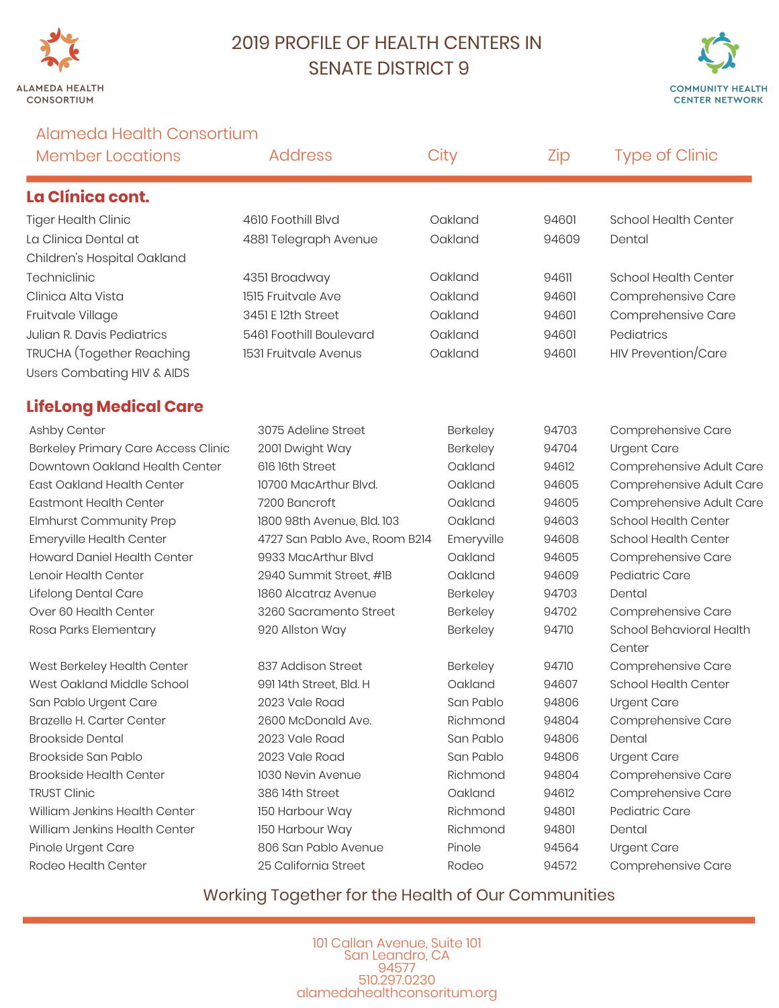



Alameda Health Consortium

| <b>Member Locations</b>             | <b>Address</b>                 | City       | Zip   | <b>Type of Clinic</b>              |
|-------------------------------------|--------------------------------|------------|-------|------------------------------------|
| La Clínica cont.                    |                                |            |       |                                    |
| <b>Tiger Health Clinic</b>          | 4610 Foothill Blvd             | Oakland    | 94601 | <b>School Health Center</b>        |
| La Clinica Dental at                | 4881 Telegraph Avenue          | Oakland    | 94609 | Dental                             |
| Children's Hospital Oakland         |                                |            |       |                                    |
| Techniclinic                        | 4351 Broadway                  | Oakland    | 94611 | School Health Center               |
| Clinica Alta Vista                  | 1515 Fruitvale Ave             | Oakland    | 94601 | Comprehensive Care                 |
| Fruitvale Village                   | 3451 E 12th Street             | Oakland    | 94601 | Comprehensive Care                 |
| Julian R. Davis Pediatrics          | 5461 Foothill Boulevard        | Oakland    | 94601 | Pediatrics                         |
| TRUCHA (Together Reaching           | 1531 Fruitvale Avenus          | Oakland    | 94601 | <b>HIV Prevention/Care</b>         |
| Users Combating HIV & AIDS          |                                |            |       |                                    |
| <b>LifeLong Medical Care</b>        |                                |            |       |                                    |
| Ashby Center                        | 3075 Adeline Street            | Berkeley   | 94703 | Comprehensive Care                 |
| Berkeley Primary Care Access Clinic | 2001 Dwight Way                | Berkeley   | 94704 | <b>Urgent Care</b>                 |
| Downtown Oakland Health Center      | 616 16th Street                | Oakland    | 94612 | Comprehensive Adult Care           |
| East Oakland Health Center          | 10700 MacArthur Blvd.          | Oakland    | 94605 | Comprehensive Adult Care           |
| <b>Eastmont Health Center</b>       | 7200 Bancroft                  | Oakland    | 94605 | Comprehensive Adult Care           |
| Elmhurst Community Prep             | 1800 98th Avenue, Bld. 103     | Oakland    | 94603 | <b>School Health Center</b>        |
| Emeryville Health Center            | 4727 San Pablo Ave., Room B214 | Emeryville | 94608 | School Health Center               |
| <b>Howard Daniel Health Center</b>  | 9933 MacArthur Blvd            | Oakland    | 94605 | Comprehensive Care                 |
| Lenoir Health Center                | 2940 Summit Street, #1B        | Oakland    | 94609 | Pediatric Care                     |
| Lifelong Dental Care                | 1860 Alcatraz Avenue           | Berkeley   | 94703 | Dental                             |
| Over 60 Health Center               | 3260 Sacramento Street         | Berkeley   | 94702 | Comprehensive Care                 |
| Rosa Parks Elementary               | 920 Allston Way                | Berkeley   | 94710 | School Behavioral Health<br>Center |
| West Berkeley Health Center         | 837 Addison Street             | Berkeley   | 94710 | Comprehensive Care                 |
| West Oakland Middle School          | 991 14th Street, Bld. H        | Oakland    | 94607 | School Health Center               |
| San Pablo Urgent Care               | 2023 Vale Road                 | San Pablo  | 94806 | <b>Urgent Care</b>                 |
| Brazelle H. Carter Center           | 2600 McDonald Ave.             | Richmond   | 94804 | Comprehensive Care                 |
| <b>Brookside Dental</b>             | 2023 Vale Road                 | San Pablo  | 94806 | Dental                             |
| Brookside San Pablo                 | 2023 Vale Road                 | San Pablo  | 94806 | <b>Urgent Care</b>                 |
| <b>Brookside Health Center</b>      | 1030 Nevin Avenue              | Richmond   | 94804 | Comprehensive Care                 |
| <b>TRUST Clinic</b>                 | 38614th Street                 | Oakland    | 94612 | Comprehensive Care                 |
| William Jenkins Health Center       | 150 Harbour Way                | Richmond   | 94801 | Pediatric Care                     |
| William Jenkins Health Center       | 150 Harbour Way                | Richmond   | 94801 | Dental                             |
| Pinole Urgent Care                  | 806 San Pablo Avenue           | Pinole     | 94564 | <b>Urgent Care</b>                 |
| Rodeo Health Center                 | 25 California Street           | Rodeo      | 94572 | Comprehensive Care                 |

### Working Together for the Health of Our Communities